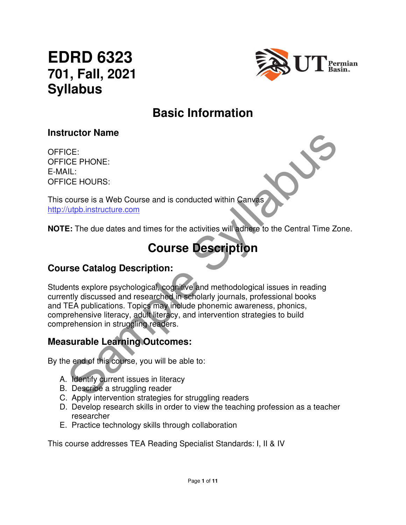# **EDRD 6323 701, Fall, 2021 Syllabus**



## **Basic Information**

#### **Instructor Name**

OFFICE: OFFICE PHONE: E-MAIL: OFFICE HOURS:

This course is a Web Course and is conducted within Canvas http://utpb.instructure.com

**NOTE:** The due dates and times for the activities will adhere to the Central Time Zone.

# **Course Description**

#### **Course Catalog Description:**

CE:<br>
CE: PHONE:<br>
CE PHONE:<br>
CE PHONE:<br>
CE HOURS:<br>
COUTSE DESCRIPTION<br>
E: The due dates and times for the activities will adhere to the Central Time Zont<br>
COUTSE DESCRIPTION<br>
THE CATALOG DESCRIPTION<br>
THE CATALOG DESCRIPTION Students explore psychological, cognitive and methodological issues in reading currently discussed and researched in scholarly journals, professional books and TEA publications. Topics may include phonemic awareness, phonics, comprehensive literacy, adult literacy, and intervention strategies to build comprehension in struggling readers.

#### **Measurable Learning Outcomes:**

By the end of this course, you will be able to:

- A. Identify current issues in literacy
- B. Describe a struggling reader
- C. Apply intervention strategies for struggling readers
- D. Develop research skills in order to view the teaching profession as a teacher researcher
- E. Practice technology skills through collaboration

This course addresses TEA Reading Specialist Standards: I, II & IV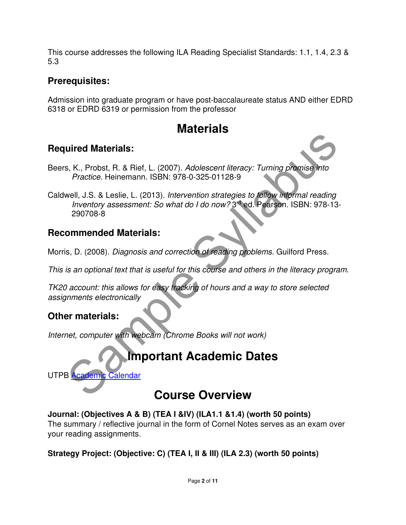This course addresses the following ILA Reading Specialist Standards: 1.1, 1.4, 2.3 & 5.3

#### **Prerequisites:**

Admission into graduate program or have post-baccalaureate status AND either EDRD 6318 or EDRD 6319 or permission from the professor

## **Materials**

#### **Required Materials:**

Beers, K., Probst, R. & Rief, L. (2007). Adolescent literacy: Turning promise into Practice. Heinemann. ISBN: 978-0-325-01128-9

uired Materials:<br>
S. K., Probst, R. & Rief, L. (2007). *Adolescent literacy: Turning promise into*<br> *Practice.* Heinemann. ISBN: 978-0-325-01128-9<br>
Muentory assessment: So what do I do now? 3<sup>rd</sup> ed. Pearson. ISBN: 978-13-Caldwell, J.S. & Leslie, L. (2013). Intervention strategies to follow informal reading Inventory assessment: So what do I do now? 3rd ed. Pearson. ISBN: 978-13- 290708-8

#### **Recommended Materials:**

Morris, D. (2008). Diagnosis and correction of reading problems. Guilford Press.

This is an optional text that is useful for this course and others in the literacy program.

TK20 account: this allows for easy tracking of hours and a way to store selected assignments electronically

### **Other materials:**

Internet, computer with webcam (Chrome Books will not work)

## **Important Academic Dates**

UTPB Academic Calendar

## **Course Overview**

**Journal: (Objectives A & B) (TEA I &IV) (ILA1.1 &1.4) (worth 50 points)** 

The summary / reflective journal in the form of Cornel Notes serves as an exam over your reading assignments.

#### **Strategy Project: (Objective: C) (TEA I, II & III) (ILA 2.3) (worth 50 points)**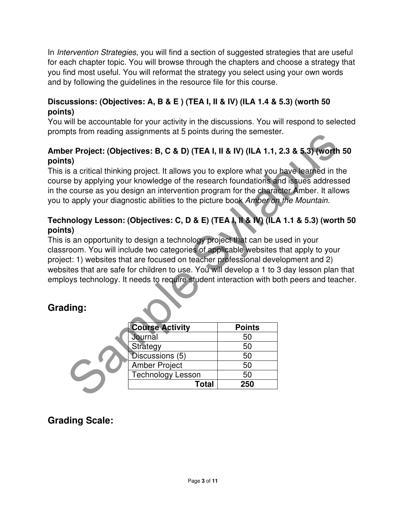In *Intervention Strategies*, you will find a section of suggested strategies that are useful for each chapter topic. You will browse through the chapters and choose a strategy that you find most useful. You will reformat the strategy you select using your own words and by following the guidelines in the resource file for this course.

#### **Discussions: (Objectives: A, B & E ) (TEA I, II & IV) (ILA 1.4 & 5.3) (worth 50 points)**

You will be accountable for your activity in the discussions. You will respond to selected prompts from reading assignments at 5 points during the semester.

#### **Amber Project: (Objectives: B, C & D) (TEA I, II & IV) (ILA 1.1, 2.3 & 5.3) (worth 50 points)**

This is a critical thinking project. It allows you to explore what you have learned in the course by applying your knowledge of the research foundations and issues addressed in the course as you design an intervention program for the character Amber. It allows you to apply your diagnostic abilities to the picture book Amber on the Mountain.

#### **Technology Lesson: (Objectives: C, D & E) (TEA I, II & IV) (ILA 1.1 & 5.3) (worth 50 points)**

ples noni eading assignments at 3 points during the seniester.<br>
Sample Seniester.<br>
Sample Seniester.<br>
Samplying your knowledge of the research foundations and issues addresses<br>
courses a you design an intervention program This is an opportunity to design a technology project that can be used in your classroom. You will include two categories of applicable websites that apply to your project: 1) websites that are focused on teacher professional development and 2) websites that are safe for children to use. You will develop a 1 to 3 day lesson plan that employs technology. It needs to require student interaction with both peers and teacher.

### **Grading:**

| <b>Course Activity</b>   | <b>Points</b> |
|--------------------------|---------------|
| Journal                  | 50            |
| Strategy                 | 50            |
| Discussions (5)          | 50            |
| <b>Amber Project</b>     | 50            |
| <b>Technology Lesson</b> | 50            |
| Total                    | 250           |

**Grading Scale:**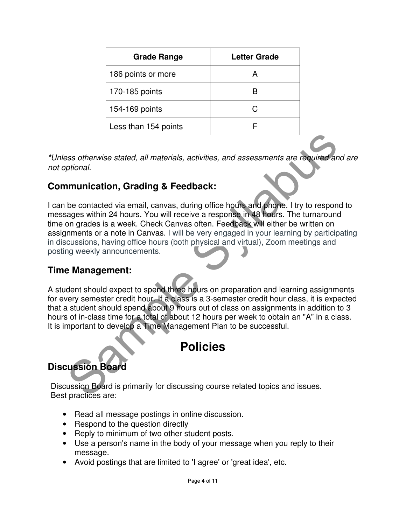| <b>Grade Range</b>   | <b>Letter Grade</b> |
|----------------------|---------------------|
| 186 points or more   |                     |
| 170-185 points       |                     |
| 154-169 points       |                     |
| Less than 154 points |                     |

\*Unless otherwise stated, all materials, activities, and assessments are required and are not optional.

#### **Communication, Grading & Feedback:**

Sample State Controller and the state of the state of the state of the state of the state of the contacted via email, carvas, during office hours and phone. I try to respond ages within 24 hours. You will receive a respons I can be contacted via email, canvas, during office hours and phone. I try to respond to messages within 24 hours. You will receive a response in 48 hours. The turnaround time on grades is a week. Check Canvas often. Feedback will either be written on assignments or a note in Canvas. I will be very engaged in your learning by participating in discussions, having office hours (both physical and virtual), Zoom meetings and posting weekly announcements.

#### **Time Management:**

A student should expect to spend three hours on preparation and learning assignments for every semester credit hour. If a class is a 3-semester credit hour class, it is expected that a student should spend about 9 hours out of class on assignments in addition to 3 hours of in-class time for a total of about 12 hours per week to obtain an "A" in a class. It is important to develop a Time Management Plan to be successful.

## **Policies**

## **Discussion Board**

Discussion Board is primarily for discussing course related topics and issues. Best practices are:

- Read all message postings in online discussion.
- Respond to the question directly
- Reply to minimum of two other student posts.
- Use a person's name in the body of your message when you reply to their message.
- Avoid postings that are limited to 'I agree' or 'great idea', etc.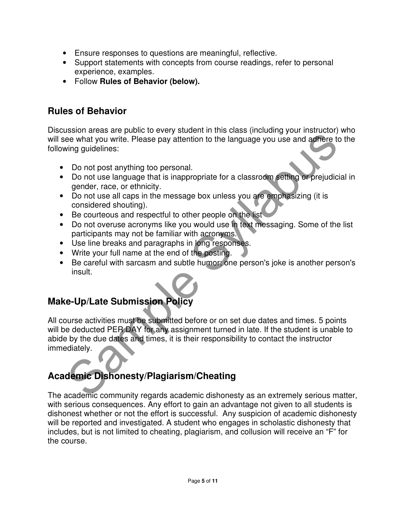- Ensure responses to questions are meaningful, reflective.
- Support statements with concepts from course readings, refer to personal experience, examples.
- Follow **Rules of Behavior (below).**

#### **Rules of Behavior**

Discussion areas are public to every student in this class (including your instructor) who will see what you write. Please pay attention to the language you use and adhere to the following guidelines:

- Do not post anything too personal.
- Do not use language that is inappropriate for a classroom setting or prejudicial in gender, race, or ethnicity.
- Do not use all caps in the message box unless you are emphasizing (it is considered shouting).
- Be courteous and respectful to other people on the list
- Do not overuse acronyms like you would use in text messaging. Some of the list participants may not be familiar with acronyms.
- Use line breaks and paragraphs in long responses.
- Write your full name at the end of the posting.
- Be careful with sarcasm and subtle humor; one person's joke is another person's insult.

## **Make-Up/Late Submission Policy**

Exercise and paragraphs in long casponess.<br>
The card address to the structure of the language you use and address to<br>the what you write. Please pay attention to the language you use and address to<br>
Do not use language that All course activities must be submitted before or on set due dates and times. 5 points will be deducted PER DAY for any assignment turned in late. If the student is unable to abide by the due dates and times, it is their responsibility to contact the instructor immediately.

### **Academic Dishonesty/Plagiarism/Cheating**

The academic community regards academic dishonesty as an extremely serious matter, with serious consequences. Any effort to gain an advantage not given to all students is dishonest whether or not the effort is successful. Any suspicion of academic dishonesty will be reported and investigated. A student who engages in scholastic dishonesty that includes, but is not limited to cheating, plagiarism, and collusion will receive an "F" for the course.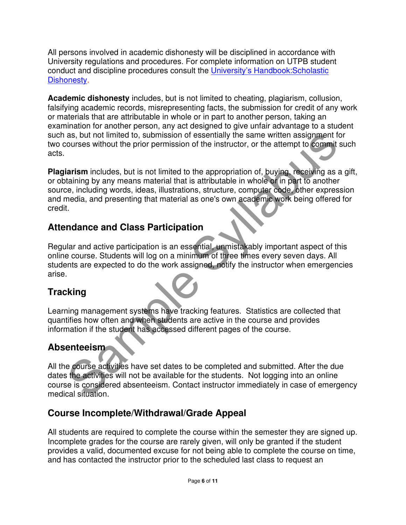All persons involved in academic dishonesty will be disciplined in accordance with University regulations and procedures. For complete information on UTPB student conduct and discipline procedures consult the University's Handbook:Scholastic Dishonesty.

**Academic dishonesty** includes, but is not limited to cheating, plagiarism, collusion, falsifying academic records, misrepresenting facts, the submission for credit of any work or materials that are attributable in whole or in part to another person, taking an examination for another person, any act designed to give unfair advantage to a student such as, but not limited to, submission of essentially the same written assignment for two courses without the prior permission of the instructor, or the attempt to commit such acts.

as, but not limited to, submission of essentially the same written assignment for<br>courses without the prior permission of the instructor, or the attempt to commit su<br>tarism includes, but is not limited to the appropriation **Plagiarism** includes, but is not limited to the appropriation of, buying, receiving as a gift, or obtaining by any means material that is attributable in whole or in part to another source, including words, ideas, illustrations, structure, computer code, other expression and media, and presenting that material as one's own academic work being offered for credit.

### **Attendance and Class Participation**

Regular and active participation is an essential, unmistakably important aspect of this online course. Students will log on a minimum of three times every seven days. All students are expected to do the work assigned, notify the instructor when emergencies arise.

## **Tracking**

Learning management systems have tracking features. Statistics are collected that quantifies how often and when students are active in the course and provides information if the student has accessed different pages of the course.

## **Absenteeism**

All the course activities have set dates to be completed and submitted. After the due dates the activities will not be available for the students. Not logging into an online course is considered absenteeism. Contact instructor immediately in case of emergency medical situation.

## **Course Incomplete/Withdrawal/Grade Appeal**

All students are required to complete the course within the semester they are signed up. Incomplete grades for the course are rarely given, will only be granted if the student provides a valid, documented excuse for not being able to complete the course on time, and has contacted the instructor prior to the scheduled last class to request an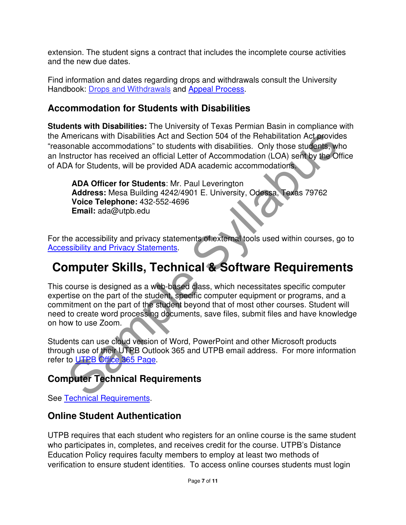extension. The student signs a contract that includes the incomplete course activities and the new due dates.

Find information and dates regarding drops and withdrawals consult the University Handbook: Drops and Withdrawals and Appeal Process.

#### **Accommodation for Students with Disabilities**

**Students with Disabilities:** The University of Texas Permian Basin in compliance with the Americans with Disabilities Act and Section 504 of the Rehabilitation Act provides "reasonable accommodations" to students with disabilities. Only those students, who an Instructor has received an official Letter of Accommodation (LOA) sent by the Office of ADA for Students, will be provided ADA academic accommodations.

**ADA Officer for Students**: Mr. Paul Leverington **Address:** Mesa Building 4242/4901 E. University, Odessa, Texas 79762 **Voice Telephone:** 432-552-4696 **Email:** ada@utpb.edu

For the accessibility and privacy statements of external tools used within courses, go to **Accessibility and Privacy Statements.** 

## **Computer Skills, Technical & Software Requirements**

mericans with Disabilities Act and Section 504 of the Rehabilitation Act provides<br>
onable accommodations" to students with disabilities. Only those students, who<br>
structor has received an official Letter of Accommodation ( This course is designed as a web-based class, which necessitates specific computer expertise on the part of the student, specific computer equipment or programs, and a commitment on the part of the student beyond that of most other courses. Student will need to create word processing documents, save files, submit files and have knowledge on how to use Zoom.

Students can use cloud version of Word, PowerPoint and other Microsoft products through use of their UTPB Outlook 365 and UTPB email address. For more information refer to UTPB Office 365 Page.

## **Computer Technical Requirements**

See Technical Requirements.

### **Online Student Authentication**

UTPB requires that each student who registers for an online course is the same student who participates in, completes, and receives credit for the course. UTPB's Distance Education Policy requires faculty members to employ at least two methods of verification to ensure student identities. To access online courses students must login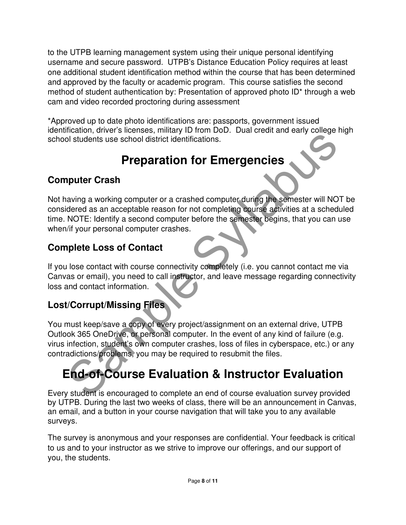to the UTPB learning management system using their unique personal identifying username and secure password. UTPB's Distance Education Policy requires at least one additional student identification method within the course that has been determined and approved by the faculty or academic program. This course satisfies the second method of student authentication by: Presentation of approved photo ID\* through a web cam and video recorded proctoring during assessment

\*Approved up to date photo identifications are: passports, government issued identification, driver's licenses, military ID from DoD. Dual credit and early college high school students use school district identifications.

# **Preparation for Emergencies**

## **Computer Crash**

Solid Students use school district identifications.<br> **Preparation for Emergencies**<br> **Preparation for Students use school district identifications.**<br> **Preparation for Students as a acceptable reason for not completing cours** Not having a working computer or a crashed computer during the semester will NOT be considered as an acceptable reason for not completing course activities at a scheduled time. NOTE: Identify a second computer before the semester begins, that you can use when/if your personal computer crashes.

## **Complete Loss of Contact**

If you lose contact with course connectivity completely (i.e. you cannot contact me via Canvas or email), you need to call instructor, and leave message regarding connectivity loss and contact information.

### **Lost/Corrupt/Missing Files**

You must keep/save a copy of every project/assignment on an external drive, UTPB Outlook 365 OneDrive, or personal computer. In the event of any kind of failure (e.g. virus infection, student's own computer crashes, loss of files in cyberspace, etc.) or any contradictions/problems, you may be required to resubmit the files.

# **End-of-Course Evaluation & Instructor Evaluation**

Every student is encouraged to complete an end of course evaluation survey provided by UTPB. During the last two weeks of class, there will be an announcement in Canvas, an email, and a button in your course navigation that will take you to any available surveys.

The survey is anonymous and your responses are confidential. Your feedback is critical to us and to your instructor as we strive to improve our offerings, and our support of you, the students.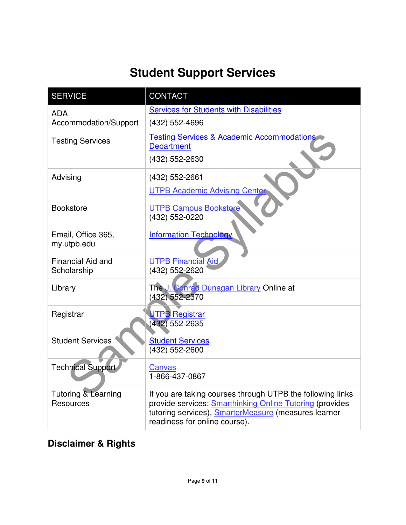# **Student Support Services**

| <b>SERVICE</b>           | <b>CONTACT</b>                                                                                                          |
|--------------------------|-------------------------------------------------------------------------------------------------------------------------|
| <b>ADA</b>               | <b>Services for Students with Disabilities</b>                                                                          |
| Accommodation/Support    | (432) 552-4696                                                                                                          |
| <b>Testing Services</b>  | <b>Testing Services &amp; Academic Accommodations</b>                                                                   |
|                          | <b>Department</b>                                                                                                       |
|                          | (432) 552-2630                                                                                                          |
| Advising                 | (432) 552-2661                                                                                                          |
|                          | <b>UTPB Academic Advising Center</b>                                                                                    |
| <b>Bookstore</b>         | <b>UTPB Campus Bookstore</b>                                                                                            |
|                          | (432) 552-0220                                                                                                          |
| Email, Office 365,       | <b>Information Technology</b>                                                                                           |
| my.utpb.edu              |                                                                                                                         |
| <b>Financial Aid and</b> | <b>UTPB Financial Aid</b>                                                                                               |
| Scholarship              | (432) 552-2620                                                                                                          |
| Library                  | The J. Conrad Dunagan Library Online at                                                                                 |
|                          | (432) 552-2370                                                                                                          |
| Registrar                | UTPB Registrar                                                                                                          |
|                          | $(432)$ 552-2635                                                                                                        |
| <b>Student Services</b>  | <b>Student Services</b>                                                                                                 |
|                          | (432) 552-2600                                                                                                          |
| <b>Technical Support</b> | Canvas                                                                                                                  |
|                          | 1-866-437-0867                                                                                                          |
| Tutoring & Learning      | If you are taking courses through UTPB the following links                                                              |
| <b>Resources</b>         | provide services: <b>Smarthinking Online Tutoring</b> (provides<br>tutoring services), SmarterMeasure (measures learner |
|                          | readiness for online course).                                                                                           |

## **Disclaimer & Rights**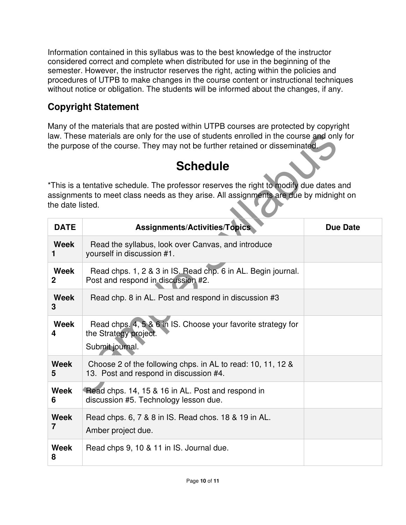Information contained in this syllabus was to the best knowledge of the instructor considered correct and complete when distributed for use in the beginning of the semester. However, the instructor reserves the right, acting within the policies and procedures of UTPB to make changes in the course content or instructional techniques without notice or obligation. The students will be informed about the changes, if any.

## **Copyright Statement**

Many of the materials that are posted within UTPB courses are protected by copyright law. These materials are only for the use of students enrolled in the course and only for the purpose of the course. They may not be further retained or disseminated.

# **Schedule**

|                                                                                                                                                                                                      | law. These materials are only for the use of students enrolled in the course and only for<br>the purpose of the course. They may not be further retained or disseminated. |                 |  |  |
|------------------------------------------------------------------------------------------------------------------------------------------------------------------------------------------------------|---------------------------------------------------------------------------------------------------------------------------------------------------------------------------|-----------------|--|--|
|                                                                                                                                                                                                      | <b>Schedule</b>                                                                                                                                                           |                 |  |  |
| *This is a tentative schedule. The professor reserves the right to modify due dates and<br>assignments to meet class needs as they arise. All assignments are due by midnight on<br>the date listed. |                                                                                                                                                                           |                 |  |  |
| <b>DATE</b>                                                                                                                                                                                          | <b>Assignments/Activities/Topics</b>                                                                                                                                      | <b>Due Date</b> |  |  |
| <b>Week</b><br>1                                                                                                                                                                                     | Read the syllabus, look over Canvas, and introduce<br>yourself in discussion #1.                                                                                          |                 |  |  |
| <b>Week</b><br>$\mathbf 2$                                                                                                                                                                           | Read chps. 1, 2 & 3 in IS. Read chp. 6 in AL. Begin journal.<br>Post and respond in discussion #2.                                                                        |                 |  |  |
| <b>Week</b><br>3                                                                                                                                                                                     | Read chp. 8 in AL. Post and respond in discussion #3                                                                                                                      |                 |  |  |
| Week<br>4                                                                                                                                                                                            | Read chps. 4, 5 & 6 in IS. Choose your favorite strategy for<br>the Strategy project.<br>Submit journal.                                                                  |                 |  |  |
| <b>Week</b><br>5                                                                                                                                                                                     | Choose 2 of the following chps. in AL to read: 10, 11, 12 &<br>13. Post and respond in discussion #4.                                                                     |                 |  |  |
| <b>Week</b><br>6                                                                                                                                                                                     | Read chps. 14, 15 & 16 in AL. Post and respond in<br>discussion #5. Technology lesson due.                                                                                |                 |  |  |
| <b>Week</b><br>$\overline{7}$                                                                                                                                                                        | Read chps. 6, 7 & 8 in IS. Read chos. 18 & 19 in AL.<br>Amber project due.                                                                                                |                 |  |  |
| <b>Week</b><br>8                                                                                                                                                                                     | Read chps 9, 10 & 11 in IS. Journal due.                                                                                                                                  |                 |  |  |